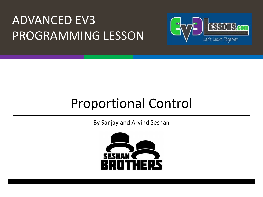#### ADVANCED EV3 PROGRAMMING LESSON



#### Proportional Control

By Sanjay and Arvind Seshan

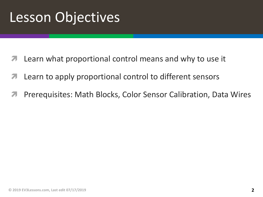## Lesson Objectives

- Learn what proportional control means and why to use it
- **7** Learn to apply proportional control to different sensors
- ì Prerequisites: Math Blocks, Color Sensor Calibration, Data Wires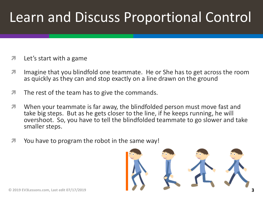## Learn and Discuss Proportional Control

- $\lambda$  Let's start with a game
- **7** Imagine that you blindfold one teammate. He or She has to get across the room as quickly as they can and stop exactly on a line drawn on the ground
- $\sqrt{ }$  The rest of the team has to give the commands.
- When your teammate is far away, the blindfolded person must move fast and take big steps. But as he gets closer to the line, if he keeps running, he will overshoot. So, you have to tell the blindfolded teammate to go slower and take smaller steps.
- $\blacktriangleright$  You have to program the robot in the same way!

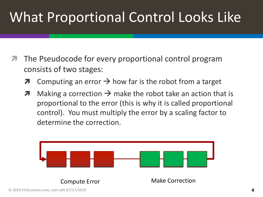# What Proportional Control Looks Like

- The Pseudocode for every proportional control program consists of two stages:
	- $\lambda$  Computing an error  $\rightarrow$  how far is the robot from a target
	- $\lambda$  Making a correction  $\rightarrow$  make the robot take an action that is proportional to the error (this is why it is called proportional control). You must multiply the error by a scaling factor to determine the correction.

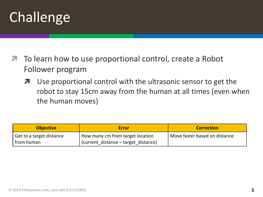# Challenge

- To learn how to use proportional control, create a Robot Follower program
	- **7** Use proportional control with the ultrasonic sensor to get the robot to stay 15cm away from the human at all times (even when the human moves)

| <b>Objective</b>           | <b>Error</b>                         | <b>Correction</b>             |
|----------------------------|--------------------------------------|-------------------------------|
| ' Get to a target distance | How many cm from target location     | Move faster based on distance |
| from human                 | (current distance – target distance) |                               |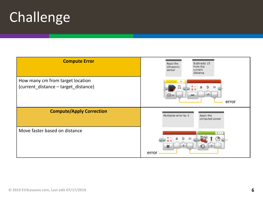# Challenge

| <b>Compute Error</b>                                                     | Subtracts 15<br>Read the<br>from the<br>Ultrasonic<br>current<br>sensor<br>distance |
|--------------------------------------------------------------------------|-------------------------------------------------------------------------------------|
| How many cm from target location<br>(current_distance - target_distance) | 15<br>error                                                                         |
| <b>Compute/Apply Correction</b>                                          | Multiplies error by 5<br>Apply the<br>computed power                                |
| Move faster based on distance                                            | $B + C$<br>x<br>error                                                               |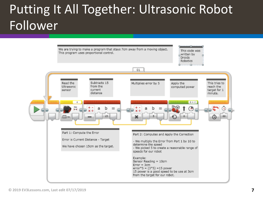#### Putting It All Together: Ultrasonic Robot Follower

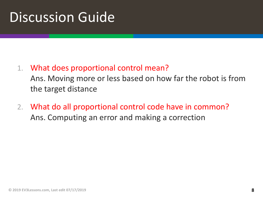### Discussion Guide

1. What does proportional control mean?

Ans. Moving more or less based on how far the robot is from the target distance

2. What do all proportional control code have in common? Ans. Computing an error and making a correction